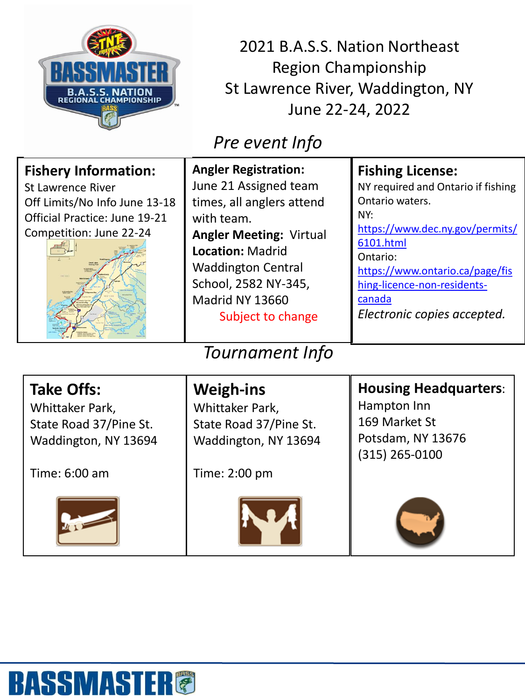

2021 B.A.S.S. Nation Northeast Region Championship St Lawrence River, Waddington, NY June 22-24, 2022

## *Pre event Info*

| <b>Fishery Information:</b><br><b>St Lawrence River</b><br>Off Limits/No Info June 13-18<br>Official Practice: June 19-21<br>Competition: June 22-24 | <b>Angler Registration:</b><br>June 21 Assigned team<br>times, all anglers attend<br>with team.<br><b>Angler Meeting: Virtual</b><br><b>Location: Madrid</b><br><b>Waddington Central</b><br>School, 2582 NY-345,<br>Madrid NY 13660<br>Subject to change | <b>Fishing License:</b><br>NY required and Ontario if fishing<br>Ontario waters.<br>NY:<br>https://www.dec.ny.gov/permits/<br>6101.html<br>Ontario:<br>https://www.ontario.ca/page/fis<br>hing-licence-non-residents-<br>canada<br>Electronic copies accepted. |
|------------------------------------------------------------------------------------------------------------------------------------------------------|-----------------------------------------------------------------------------------------------------------------------------------------------------------------------------------------------------------------------------------------------------------|----------------------------------------------------------------------------------------------------------------------------------------------------------------------------------------------------------------------------------------------------------------|
| <b>Tournament Info</b>                                                                                                                               |                                                                                                                                                                                                                                                           |                                                                                                                                                                                                                                                                |
| <b>Take Offs:</b><br>Whittaker Park,<br>State Road 37/Pine St.<br>Waddington, NY 13694                                                               | <b>Weigh-ins</b><br>Whittaker Park,<br>State Road 37/Pine St.<br>Waddington, NY 13694                                                                                                                                                                     | <b>Housing Headquarters:</b><br>Hampton Inn<br>169 Market St<br>Potsdam, NY 13676<br>(315) 265-0100                                                                                                                                                            |
| Time: 6:00 am                                                                                                                                        | Time: 2:00 pm                                                                                                                                                                                                                                             |                                                                                                                                                                                                                                                                |







## **BASSMASTER®**